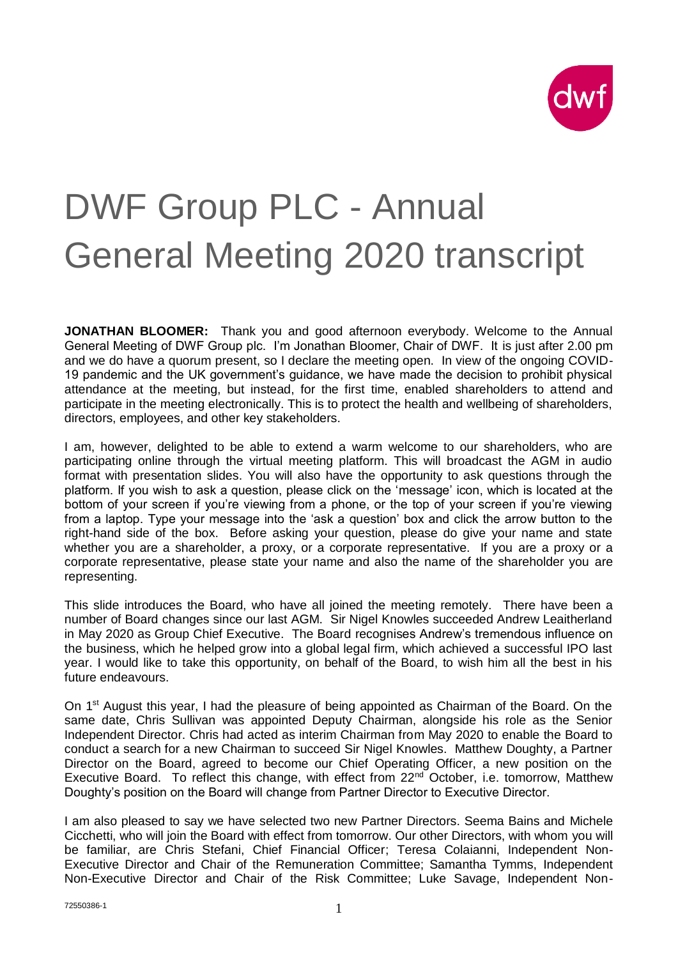

## DWF Group PLC - Annual General Meeting 2020 transcript

**JONATHAN BLOOMER:** Thank you and good afternoon everybody. Welcome to the Annual General Meeting of DWF Group plc. I'm Jonathan Bloomer, Chair of DWF. It is just after 2.00 pm and we do have a quorum present, so I declare the meeting open. In view of the ongoing COVID-19 pandemic and the UK government's guidance, we have made the decision to prohibit physical attendance at the meeting, but instead, for the first time, enabled shareholders to attend and participate in the meeting electronically. This is to protect the health and wellbeing of shareholders, directors, employees, and other key stakeholders.

I am, however, delighted to be able to extend a warm welcome to our shareholders, who are participating online through the virtual meeting platform. This will broadcast the AGM in audio format with presentation slides. You will also have the opportunity to ask questions through the platform. If you wish to ask a question, please click on the 'message' icon, which is located at the bottom of your screen if you're viewing from a phone, or the top of your screen if you're viewing from a laptop. Type your message into the 'ask a question' box and click the arrow button to the right-hand side of the box. Before asking your question, please do give your name and state whether you are a shareholder, a proxy, or a corporate representative. If you are a proxy or a corporate representative, please state your name and also the name of the shareholder you are representing.

This slide introduces the Board, who have all joined the meeting remotely. There have been a number of Board changes since our last AGM. Sir Nigel Knowles succeeded Andrew Leaitherland in May 2020 as Group Chief Executive. The Board recognises Andrew's tremendous influence on the business, which he helped grow into a global legal firm, which achieved a successful IPO last year. I would like to take this opportunity, on behalf of the Board, to wish him all the best in his future endeavours.

On 1<sup>st</sup> August this year, I had the pleasure of being appointed as Chairman of the Board. On the same date, Chris Sullivan was appointed Deputy Chairman, alongside his role as the Senior Independent Director. Chris had acted as interim Chairman from May 2020 to enable the Board to conduct a search for a new Chairman to succeed Sir Nigel Knowles. Matthew Doughty, a Partner Director on the Board, agreed to become our Chief Operating Officer, a new position on the Executive Board. To reflect this change, with effect from 22<sup>nd</sup> October, i.e. tomorrow, Matthew Doughty's position on the Board will change from Partner Director to Executive Director.

I am also pleased to say we have selected two new Partner Directors. Seema Bains and Michele Cicchetti, who will join the Board with effect from tomorrow. Our other Directors, with whom you will be familiar, are Chris Stefani, Chief Financial Officer; Teresa Colaianni, Independent Non-Executive Director and Chair of the Remuneration Committee; Samantha Tymms, Independent Non-Executive Director and Chair of the Risk Committee; Luke Savage, Independent Non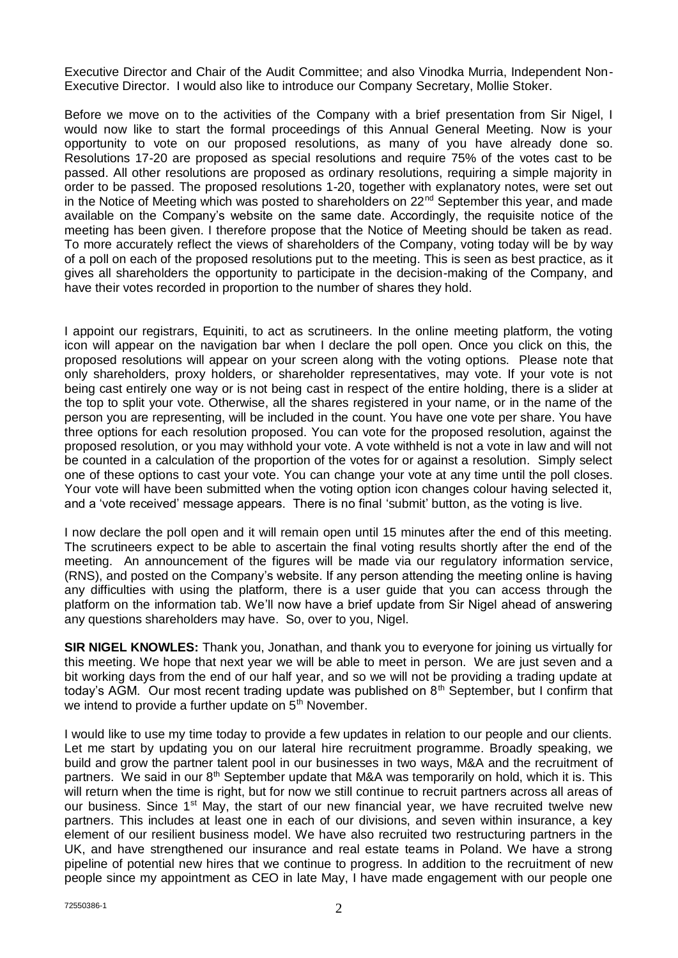Executive Director and Chair of the Audit Committee; and also Vinodka Murria, Independent Non-Executive Director. I would also like to introduce our Company Secretary, Mollie Stoker.

Before we move on to the activities of the Company with a brief presentation from Sir Nigel, I would now like to start the formal proceedings of this Annual General Meeting. Now is your opportunity to vote on our proposed resolutions, as many of you have already done so. Resolutions 17-20 are proposed as special resolutions and require 75% of the votes cast to be passed. All other resolutions are proposed as ordinary resolutions, requiring a simple majority in order to be passed. The proposed resolutions 1-20, together with explanatory notes, were set out in the Notice of Meeting which was posted to shareholders on  $22<sup>nd</sup>$  September this year, and made available on the Company's website on the same date. Accordingly, the requisite notice of the meeting has been given. I therefore propose that the Notice of Meeting should be taken as read. To more accurately reflect the views of shareholders of the Company, voting today will be by way of a poll on each of the proposed resolutions put to the meeting. This is seen as best practice, as it gives all shareholders the opportunity to participate in the decision-making of the Company, and have their votes recorded in proportion to the number of shares they hold.

I appoint our registrars, Equiniti, to act as scrutineers. In the online meeting platform, the voting icon will appear on the navigation bar when I declare the poll open. Once you click on this, the proposed resolutions will appear on your screen along with the voting options. Please note that only shareholders, proxy holders, or shareholder representatives, may vote. If your vote is not being cast entirely one way or is not being cast in respect of the entire holding, there is a slider at the top to split your vote. Otherwise, all the shares registered in your name, or in the name of the person you are representing, will be included in the count. You have one vote per share. You have three options for each resolution proposed. You can vote for the proposed resolution, against the proposed resolution, or you may withhold your vote. A vote withheld is not a vote in law and will not be counted in a calculation of the proportion of the votes for or against a resolution. Simply select one of these options to cast your vote. You can change your vote at any time until the poll closes. Your vote will have been submitted when the voting option icon changes colour having selected it, and a 'vote received' message appears. There is no final 'submit' button, as the voting is live.

I now declare the poll open and it will remain open until 15 minutes after the end of this meeting. The scrutineers expect to be able to ascertain the final voting results shortly after the end of the meeting. An announcement of the figures will be made via our regulatory information service, (RNS), and posted on the Company's website. If any person attending the meeting online is having any difficulties with using the platform, there is a user guide that you can access through the platform on the information tab. We'll now have a brief update from Sir Nigel ahead of answering any questions shareholders may have. So, over to you, Nigel.

**SIR NIGEL KNOWLES:** Thank you, Jonathan, and thank you to everyone for joining us virtually for this meeting. We hope that next year we will be able to meet in person. We are just seven and a bit working days from the end of our half year, and so we will not be providing a trading update at today's AGM. Our most recent trading update was published on  $8<sup>th</sup>$  September, but I confirm that we intend to provide a further update on  $5<sup>th</sup>$  November.

I would like to use my time today to provide a few updates in relation to our people and our clients. Let me start by updating you on our lateral hire recruitment programme. Broadly speaking, we build and grow the partner talent pool in our businesses in two ways, M&A and the recruitment of partners. We said in our  $8<sup>th</sup>$  September update that M&A was temporarily on hold, which it is. This will return when the time is right, but for now we still continue to recruit partners across all areas of our business. Since 1<sup>st</sup> May, the start of our new financial year, we have recruited twelve new partners. This includes at least one in each of our divisions, and seven within insurance, a key element of our resilient business model. We have also recruited two restructuring partners in the UK, and have strengthened our insurance and real estate teams in Poland. We have a strong pipeline of potential new hires that we continue to progress. In addition to the recruitment of new people since my appointment as CEO in late May, I have made engagement with our people one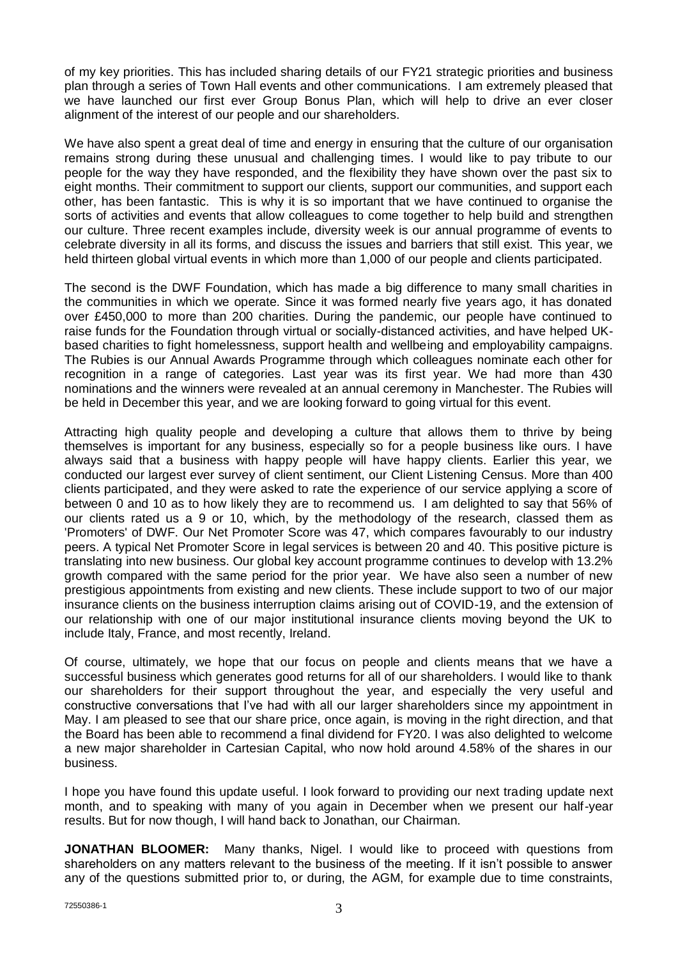of my key priorities. This has included sharing details of our FY21 strategic priorities and business plan through a series of Town Hall events and other communications. I am extremely pleased that we have launched our first ever Group Bonus Plan, which will help to drive an ever closer alignment of the interest of our people and our shareholders.

We have also spent a great deal of time and energy in ensuring that the culture of our organisation remains strong during these unusual and challenging times. I would like to pay tribute to our people for the way they have responded, and the flexibility they have shown over the past six to eight months. Their commitment to support our clients, support our communities, and support each other, has been fantastic. This is why it is so important that we have continued to organise the sorts of activities and events that allow colleagues to come together to help build and strengthen our culture. Three recent examples include, diversity week is our annual programme of events to celebrate diversity in all its forms, and discuss the issues and barriers that still exist. This year, we held thirteen global virtual events in which more than 1,000 of our people and clients participated.

The second is the DWF Foundation, which has made a big difference to many small charities in the communities in which we operate. Since it was formed nearly five years ago, it has donated over £450,000 to more than 200 charities. During the pandemic, our people have continued to raise funds for the Foundation through virtual or socially-distanced activities, and have helped UKbased charities to fight homelessness, support health and wellbeing and employability campaigns. The Rubies is our Annual Awards Programme through which colleagues nominate each other for recognition in a range of categories. Last year was its first year. We had more than 430 nominations and the winners were revealed at an annual ceremony in Manchester. The Rubies will be held in December this year, and we are looking forward to going virtual for this event.

Attracting high quality people and developing a culture that allows them to thrive by being themselves is important for any business, especially so for a people business like ours. I have always said that a business with happy people will have happy clients. Earlier this year, we conducted our largest ever survey of client sentiment, our Client Listening Census. More than 400 clients participated, and they were asked to rate the experience of our service applying a score of between 0 and 10 as to how likely they are to recommend us. I am delighted to say that 56% of our clients rated us a 9 or 10, which, by the methodology of the research, classed them as 'Promoters' of DWF. Our Net Promoter Score was 47, which compares favourably to our industry peers. A typical Net Promoter Score in legal services is between 20 and 40. This positive picture is translating into new business. Our global key account programme continues to develop with 13.2% growth compared with the same period for the prior year. We have also seen a number of new prestigious appointments from existing and new clients. These include support to two of our major insurance clients on the business interruption claims arising out of COVID-19, and the extension of our relationship with one of our major institutional insurance clients moving beyond the UK to include Italy, France, and most recently, Ireland.

Of course, ultimately, we hope that our focus on people and clients means that we have a successful business which generates good returns for all of our shareholders. I would like to thank our shareholders for their support throughout the year, and especially the very useful and constructive conversations that I've had with all our larger shareholders since my appointment in May. I am pleased to see that our share price, once again, is moving in the right direction, and that the Board has been able to recommend a final dividend for FY20. I was also delighted to welcome a new major shareholder in Cartesian Capital, who now hold around 4.58% of the shares in our business.

I hope you have found this update useful. I look forward to providing our next trading update next month, and to speaking with many of you again in December when we present our half-year results. But for now though, I will hand back to Jonathan, our Chairman.

**JONATHAN BLOOMER:** Many thanks, Nigel. I would like to proceed with questions from shareholders on any matters relevant to the business of the meeting. If it isn't possible to answer any of the questions submitted prior to, or during, the AGM, for example due to time constraints,